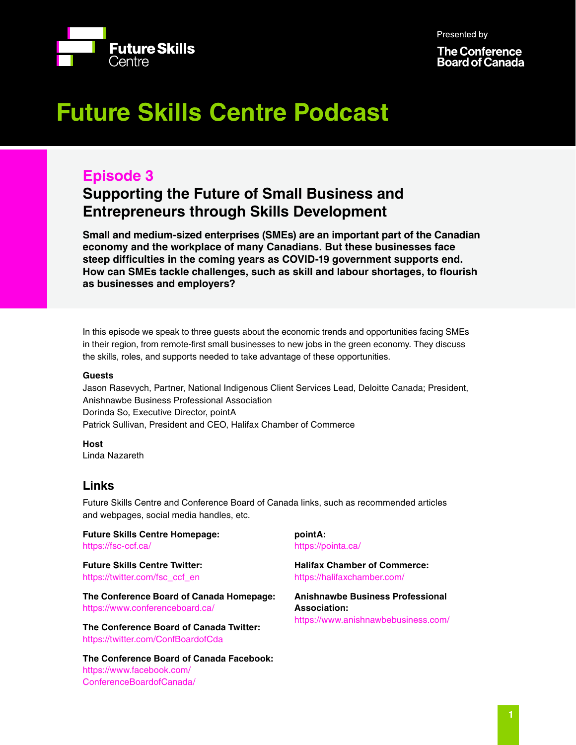Presented by



**The Conference Board of Canada** 

# **Future Skills Centre Podcast**

# **Episode 3**

# **Supporting the Future of Small Business and Entrepreneurs through Skills Development**

**Small and medium-sized enterprises (SMEs) are an important part of the Canadian economy and the workplace of many Canadians. But these businesses face steep difficulties in the coming years as COVID-19 government supports end. How can SMEs tackle challenges, such as skill and labour shortages, to flourish as businesses and employers?**

In this episode we speak to three guests about the economic trends and opportunities facing SMEs in their region, from remote-first small businesses to new jobs in the green economy. They discuss the skills, roles, and supports needed to take advantage of these opportunities.

# **Guests**

Jason Rasevych, Partner, National Indigenous Client Services Lead, Deloitte Canada; President, Anishnawbe Business Professional Association Dorinda So, Executive Director, pointA Patrick Sullivan, President and CEO, Halifax Chamber of Commerce

**Host** Linda Nazareth

# **Links**

Future Skills Centre and Conference Board of Canada links, such as recommended articles and webpages, social media handles, etc.

**Future Skills Centre Homepage:** <https://fsc-ccf.ca/>

**Future Skills Centre Twitter:** [https://twitter.com/fsc\\_ccf\\_en](https://twitter.com/fsc_ccf_en )

**The Conference Board of Canada Homepage:** [https://www.conferenceboard.ca/](https://www.conferenceboard.ca/ )

**The Conference Board of Canada Twitter:** [https://twitter.com/ConfBoardofCda](https://twitter.com/ConfBoardofCda )

**The Conference Board of Canada Facebook:** [https://www.facebook.com/](https://www.facebook.com/ConferenceBoardofCanada/) [ConferenceBoardofCanada/](https://www.facebook.com/ConferenceBoardofCanada/)

## **pointA:**  https://pointa.ca/

**Halifax Chamber of Commerce:**  https://halifaxchamber.com/

**Anishnawbe Business Professional Association:**  https://www.anishnawbebusiness.com/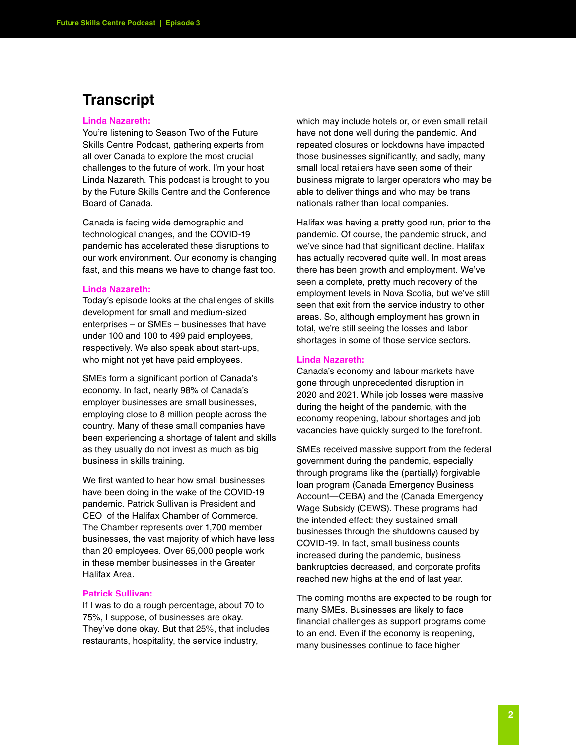# **Transcript**

## **Linda Nazareth:**

You're listening to Season Two of the Future Skills Centre Podcast, gathering experts from all over Canada to explore the most crucial challenges to the future of work. I'm your host Linda Nazareth. This podcast is brought to you by the Future Skills Centre and the Conference Board of Canada.

Canada is facing wide demographic and technological changes, and the COVID-19 pandemic has accelerated these disruptions to our work environment. Our economy is changing fast, and this means we have to change fast too.

# **Linda Nazareth:**

Today's episode looks at the challenges of skills development for small and medium-sized enterprises – or SMEs – businesses that have under 100 and 100 to 499 paid employees, respectively. We also speak about start-ups, who might not yet have paid employees.

SMEs form a significant portion of Canada's economy. In fact, nearly 98% of Canada's employer businesses are small businesses, employing close to 8 million people across the country. Many of these small companies have been experiencing a shortage of talent and skills as they usually do not invest as much as big business in skills training.

We first wanted to hear how small businesses have been doing in the wake of the COVID-19 pandemic. Patrick Sullivan is President and CEO of the Halifax Chamber of Commerce. The Chamber represents over 1,700 member businesses, the vast majority of which have less than 20 employees. Over 65,000 people work in these member businesses in the Greater Halifax Area.

#### **Patrick Sullivan:**

If I was to do a rough percentage, about 70 to 75%, I suppose, of businesses are okay. They've done okay. But that 25%, that includes restaurants, hospitality, the service industry,

which may include hotels or, or even small retail have not done well during the pandemic. And repeated closures or lockdowns have impacted those businesses significantly, and sadly, many small local retailers have seen some of their business migrate to larger operators who may be able to deliver things and who may be trans nationals rather than local companies.

Halifax was having a pretty good run, prior to the pandemic. Of course, the pandemic struck, and we've since had that significant decline. Halifax has actually recovered quite well. In most areas there has been growth and employment. We've seen a complete, pretty much recovery of the employment levels in Nova Scotia, but we've still seen that exit from the service industry to other areas. So, although employment has grown in total, we're still seeing the losses and labor shortages in some of those service sectors.

#### **Linda Nazareth:**

Canada's economy and labour markets have gone through unprecedented disruption in 2020 and 2021. While job losses were massive during the height of the pandemic, with the economy reopening, labour shortages and job vacancies have quickly surged to the forefront.

SMEs received massive support from the federal government during the pandemic, especially through programs like the (partially) forgivable loan program (Canada Emergency Business Account—CEBA) and the (Canada Emergency Wage Subsidy (CEWS). These programs had the intended effect: they sustained small businesses through the shutdowns caused by COVID-19. In fact, small business counts increased during the pandemic, business bankruptcies decreased, and corporate profits reached new highs at the end of last year.

The coming months are expected to be rough for many SMEs. Businesses are likely to face financial challenges as support programs come to an end. Even if the economy is reopening, many businesses continue to face higher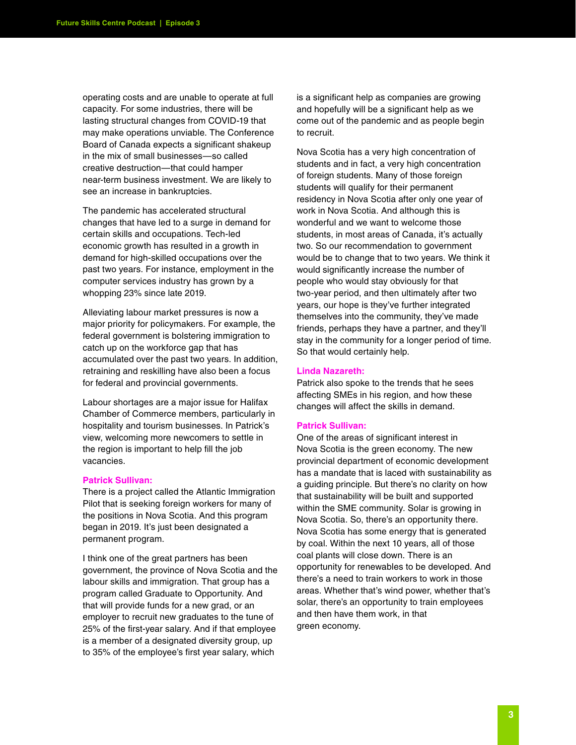operating costs and are unable to operate at full capacity. For some industries, there will be lasting structural changes from COVID-19 that may make operations unviable. The Conference Board of Canada expects a significant shakeup in the mix of small businesses—so called creative destruction—that could hamper near-term business investment. We are likely to see an increase in bankruptcies.

The pandemic has accelerated structural changes that have led to a surge in demand for certain skills and occupations. Tech-led economic growth has resulted in a growth in demand for high-skilled occupations over the past two years. For instance, employment in the computer services industry has grown by a whopping 23% since late 2019.

Alleviating labour market pressures is now a major priority for policymakers. For example, the federal government is bolstering immigration to catch up on the workforce gap that has accumulated over the past two years. In addition, retraining and reskilling have also been a focus for federal and provincial governments.

Labour shortages are a major issue for Halifax Chamber of Commerce members, particularly in hospitality and tourism businesses. In Patrick's view, welcoming more newcomers to settle in the region is important to help fill the job vacancies.

# **Patrick Sullivan:**

There is a project called the Atlantic Immigration Pilot that is seeking foreign workers for many of the positions in Nova Scotia. And this program began in 2019. It's just been designated a permanent program.

I think one of the great partners has been government, the province of Nova Scotia and the labour skills and immigration. That group has a program called Graduate to Opportunity. And that will provide funds for a new grad, or an employer to recruit new graduates to the tune of 25% of the first-year salary. And if that employee is a member of a designated diversity group, up to 35% of the employee's first year salary, which

is a significant help as companies are growing and hopefully will be a significant help as we come out of the pandemic and as people begin to recruit.

Nova Scotia has a very high concentration of students and in fact, a very high concentration of foreign students. Many of those foreign students will qualify for their permanent residency in Nova Scotia after only one year of work in Nova Scotia. And although this is wonderful and we want to welcome those students, in most areas of Canada, it's actually two. So our recommendation to government would be to change that to two years. We think it would significantly increase the number of people who would stay obviously for that two-year period, and then ultimately after two years, our hope is they've further integrated themselves into the community, they've made friends, perhaps they have a partner, and they'll stay in the community for a longer period of time. So that would certainly help.

#### **Linda Nazareth:**

Patrick also spoke to the trends that he sees affecting SMEs in his region, and how these changes will affect the skills in demand.

#### **Patrick Sullivan:**

One of the areas of significant interest in Nova Scotia is the green economy. The new provincial department of economic development has a mandate that is laced with sustainability as a guiding principle. But there's no clarity on how that sustainability will be built and supported within the SME community. Solar is growing in Nova Scotia. So, there's an opportunity there. Nova Scotia has some energy that is generated by coal. Within the next 10 years, all of those coal plants will close down. There is an opportunity for renewables to be developed. And there's a need to train workers to work in those areas. Whether that's wind power, whether that's solar, there's an opportunity to train employees and then have them work, in that green economy.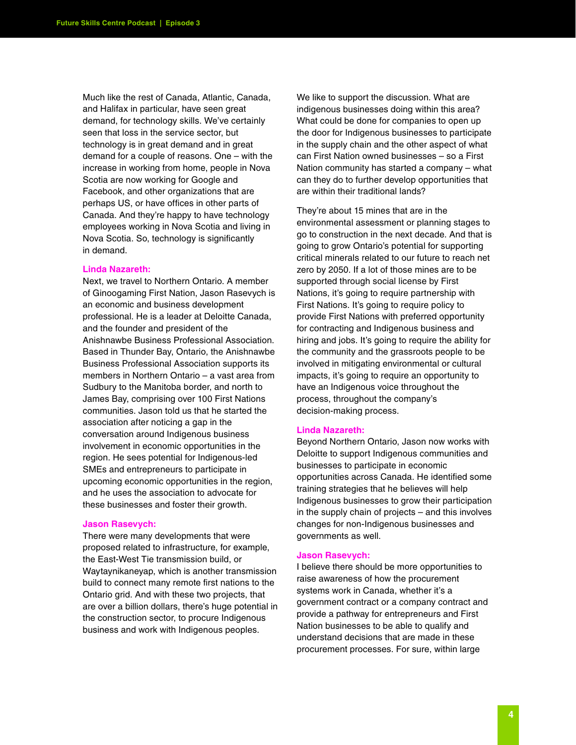Much like the rest of Canada, Atlantic, Canada, and Halifax in particular, have seen great demand, for technology skills. We've certainly seen that loss in the service sector, but technology is in great demand and in great demand for a couple of reasons. One – with the increase in working from home, people in Nova Scotia are now working for Google and Facebook, and other organizations that are perhaps US, or have offices in other parts of Canada. And they're happy to have technology employees working in Nova Scotia and living in Nova Scotia. So, technology is significantly in demand.

# **Linda Nazareth:**

Next, we travel to Northern Ontario. A member of Ginoogaming First Nation, Jason Rasevych is an economic and business development professional. He is a leader at Deloitte Canada, and the founder and president of the Anishnawbe Business Professional Association. Based in Thunder Bay, Ontario, the Anishnawbe Business Professional Association supports its members in Northern Ontario – a vast area from Sudbury to the Manitoba border, and north to James Bay, comprising over 100 First Nations communities. Jason told us that he started the association after noticing a gap in the conversation around Indigenous business involvement in economic opportunities in the region. He sees potential for Indigenous-led SMEs and entrepreneurs to participate in upcoming economic opportunities in the region, and he uses the association to advocate for these businesses and foster their growth.

#### **Jason Rasevych:**

There were many developments that were proposed related to infrastructure, for example, the East-West Tie transmission build, or Waytaynikaneyap, which is another transmission build to connect many remote first nations to the Ontario grid. And with these two projects, that are over a billion dollars, there's huge potential in the construction sector, to procure Indigenous business and work with Indigenous peoples.

We like to support the discussion. What are indigenous businesses doing within this area? What could be done for companies to open up the door for Indigenous businesses to participate in the supply chain and the other aspect of what can First Nation owned businesses – so a First Nation community has started a company – what can they do to further develop opportunities that are within their traditional lands?

They're about 15 mines that are in the environmental assessment or planning stages to go to construction in the next decade. And that is going to grow Ontario's potential for supporting critical minerals related to our future to reach net zero by 2050. If a lot of those mines are to be supported through social license by First Nations, it's going to require partnership with First Nations. It's going to require policy to provide First Nations with preferred opportunity for contracting and Indigenous business and hiring and jobs. It's going to require the ability for the community and the grassroots people to be involved in mitigating environmental or cultural impacts, it's going to require an opportunity to have an Indigenous voice throughout the process, throughout the company's decision-making process.

# **Linda Nazareth:**

Beyond Northern Ontario, Jason now works with Deloitte to support Indigenous communities and businesses to participate in economic opportunities across Canada. He identified some training strategies that he believes will help Indigenous businesses to grow their participation in the supply chain of projects – and this involves changes for non-Indigenous businesses and governments as well.

#### **Jason Rasevych:**

I believe there should be more opportunities to raise awareness of how the procurement systems work in Canada, whether it's a government contract or a company contract and provide a pathway for entrepreneurs and First Nation businesses to be able to qualify and understand decisions that are made in these procurement processes. For sure, within large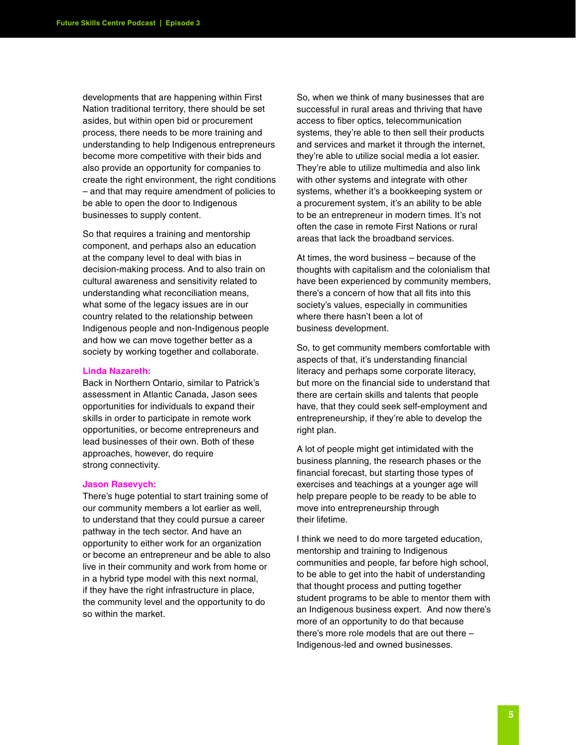developments that are happening within First Nation traditional territory, there should be set asides, but within open bid or procurement process, there needs to be more training and understanding to help Indigenous entrepreneurs become more competitive with their bids and also provide an opportunity for companies to create the right environment, the right conditions – and that may require amendment of policies to be able to open the door to Indigenous businesses to supply content.

So that requires a training and mentorship component, and perhaps also an education at the company level to deal with bias in decision-making process. And to also train on cultural awareness and sensitivity related to understanding what reconciliation means, what some of the legacy issues are in our country related to the relationship between Indigenous people and non-Indigenous people and how we can move together better as a society by working together and collaborate.

#### **Linda Nazareth:**

Back in Northern Ontario, similar to Patrick's assessment in Atlantic Canada, Jason sees opportunities for individuals to expand their skills in order to participate in remote work opportunities, or become entrepreneurs and lead businesses of their own. Both of these approaches, however, do require strong connectivity.

#### **Jason Rasevych:**

There's huge potential to start training some of our community members a lot earlier as well, to understand that they could pursue a career pathway in the tech sector. And have an opportunity to either work for an organization or become an entrepreneur and be able to also live in their community and work from home or in a hybrid type model with this next normal, if they have the right infrastructure in place, the community level and the opportunity to do so within the market.

So, when we think of many businesses that are successful in rural areas and thriving that have access to fiber optics, telecommunication systems, they're able to then sell their products and services and market it through the internet, they're able to utilize social media a lot easier. They're able to utilize multimedia and also link with other systems and integrate with other systems, whether it's a bookkeeping system or a procurement system, it's an ability to be able to be an entrepreneur in modern times. It's not often the case in remote First Nations or rural areas that lack the broadband services.

At times, the word business – because of the thoughts with capitalism and the colonialism that have been experienced by community members, there's a concern of how that all fits into this society's values, especially in communities where there hasn't been a lot of business development.

So, to get community members comfortable with aspects of that, it's understanding financial literacy and perhaps some corporate literacy, but more on the financial side to understand that there are certain skills and talents that people have, that they could seek self-employment and entrepreneurship, if they're able to develop the right plan.

A lot of people might get intimidated with the business planning, the research phases or the financial forecast, but starting those types of exercises and teachings at a younger age will help prepare people to be ready to be able to move into entrepreneurship through their lifetime.

I think we need to do more targeted education, mentorship and training to Indigenous communities and people, far before high school, to be able to get into the habit of understanding that thought process and putting together student programs to be able to mentor them with an Indigenous business expert. And now there's more of an opportunity to do that because there's more role models that are out there – Indigenous-led and owned businesses.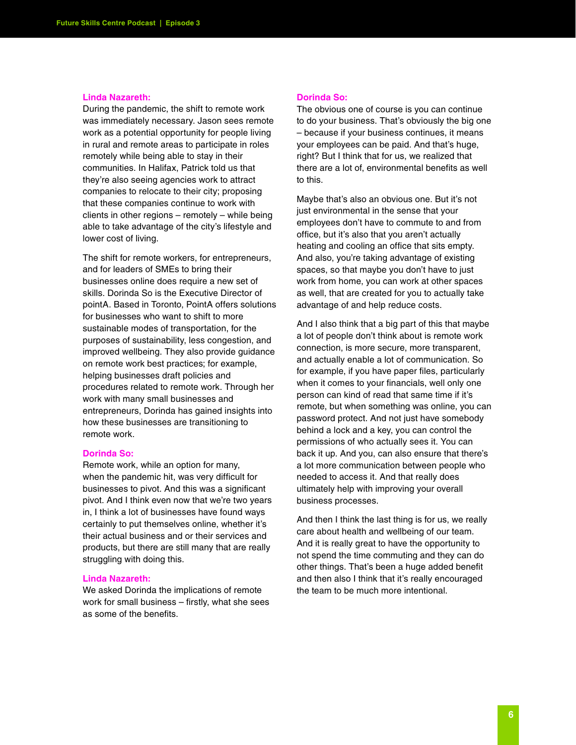#### **Linda Nazareth:**

During the pandemic, the shift to remote work was immediately necessary. Jason sees remote work as a potential opportunity for people living in rural and remote areas to participate in roles remotely while being able to stay in their communities. In Halifax, Patrick told us that they're also seeing agencies work to attract companies to relocate to their city; proposing that these companies continue to work with clients in other regions – remotely – while being able to take advantage of the city's lifestyle and lower cost of living.

The shift for remote workers, for entrepreneurs, and for leaders of SMEs to bring their businesses online does require a new set of skills. Dorinda So is the Executive Director of pointA. Based in Toronto, PointA offers solutions for businesses who want to shift to more sustainable modes of transportation, for the purposes of sustainability, less congestion, and improved wellbeing. They also provide guidance on remote work best practices; for example, helping businesses draft policies and procedures related to remote work. Through her work with many small businesses and entrepreneurs, Dorinda has gained insights into how these businesses are transitioning to remote work.

#### **Dorinda So:**

Remote work, while an option for many, when the pandemic hit, was very difficult for businesses to pivot. And this was a significant pivot. And I think even now that we're two years in, I think a lot of businesses have found ways certainly to put themselves online, whether it's their actual business and or their services and products, but there are still many that are really struggling with doing this.

#### **Linda Nazareth:**

We asked Dorinda the implications of remote work for small business – firstly, what she sees as some of the benefits.

#### **Dorinda So:**

The obvious one of course is you can continue to do your business. That's obviously the big one – because if your business continues, it means your employees can be paid. And that's huge, right? But I think that for us, we realized that there are a lot of, environmental benefits as well to this.

Maybe that's also an obvious one. But it's not just environmental in the sense that your employees don't have to commute to and from office, but it's also that you aren't actually heating and cooling an office that sits empty. And also, you're taking advantage of existing spaces, so that maybe you don't have to just work from home, you can work at other spaces as well, that are created for you to actually take advantage of and help reduce costs.

And I also think that a big part of this that maybe a lot of people don't think about is remote work connection, is more secure, more transparent, and actually enable a lot of communication. So for example, if you have paper files, particularly when it comes to your financials, well only one person can kind of read that same time if it's remote, but when something was online, you can password protect. And not just have somebody behind a lock and a key, you can control the permissions of who actually sees it. You can back it up. And you, can also ensure that there's a lot more communication between people who needed to access it. And that really does ultimately help with improving your overall business processes.

And then I think the last thing is for us, we really care about health and wellbeing of our team. And it is really great to have the opportunity to not spend the time commuting and they can do other things. That's been a huge added benefit and then also I think that it's really encouraged the team to be much more intentional.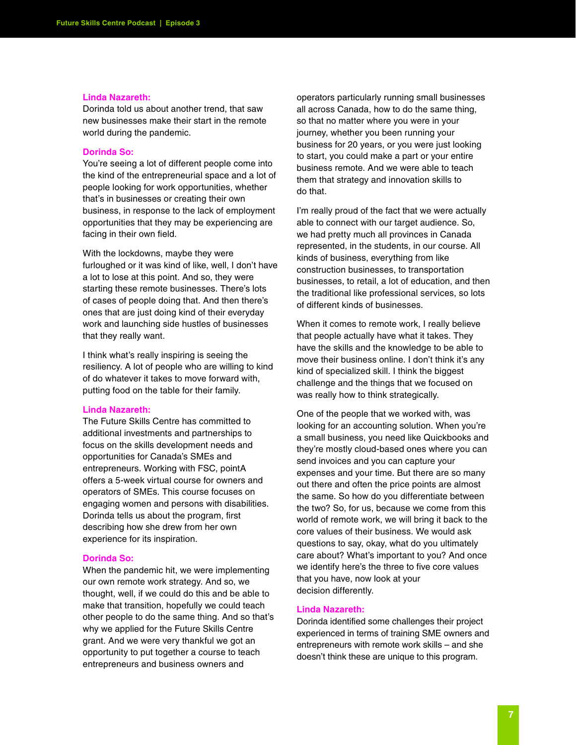#### **Linda Nazareth:**

Dorinda told us about another trend, that saw new businesses make their start in the remote world during the pandemic.

# **Dorinda So:**

You're seeing a lot of different people come into the kind of the entrepreneurial space and a lot of people looking for work opportunities, whether that's in businesses or creating their own business, in response to the lack of employment opportunities that they may be experiencing are facing in their own field.

With the lockdowns, maybe they were furloughed or it was kind of like, well, I don't have a lot to lose at this point. And so, they were starting these remote businesses. There's lots of cases of people doing that. And then there's ones that are just doing kind of their everyday work and launching side hustles of businesses that they really want.

I think what's really inspiring is seeing the resiliency. A lot of people who are willing to kind of do whatever it takes to move forward with, putting food on the table for their family.

#### **Linda Nazareth:**

The Future Skills Centre has committed to additional investments and partnerships to focus on the skills development needs and opportunities for Canada's SMEs and entrepreneurs. Working with FSC, pointA offers a 5-week virtual course for owners and operators of SMEs. This course focuses on engaging women and persons with disabilities. Dorinda tells us about the program, first describing how she drew from her own experience for its inspiration.

#### **Dorinda So:**

When the pandemic hit, we were implementing our own remote work strategy. And so, we thought, well, if we could do this and be able to make that transition, hopefully we could teach other people to do the same thing. And so that's why we applied for the Future Skills Centre grant. And we were very thankful we got an opportunity to put together a course to teach entrepreneurs and business owners and

operators particularly running small businesses all across Canada, how to do the same thing, so that no matter where you were in your journey, whether you been running your business for 20 years, or you were just looking to start, you could make a part or your entire business remote. And we were able to teach them that strategy and innovation skills to do that.

I'm really proud of the fact that we were actually able to connect with our target audience. So, we had pretty much all provinces in Canada represented, in the students, in our course. All kinds of business, everything from like construction businesses, to transportation businesses, to retail, a lot of education, and then the traditional like professional services, so lots of different kinds of businesses.

When it comes to remote work, I really believe that people actually have what it takes. They have the skills and the knowledge to be able to move their business online. I don't think it's any kind of specialized skill. I think the biggest challenge and the things that we focused on was really how to think strategically.

One of the people that we worked with, was looking for an accounting solution. When you're a small business, you need like Quickbooks and they're mostly cloud-based ones where you can send invoices and you can capture your expenses and your time. But there are so many out there and often the price points are almost the same. So how do you differentiate between the two? So, for us, because we come from this world of remote work, we will bring it back to the core values of their business. We would ask questions to say, okay, what do you ultimately care about? What's important to you? And once we identify here's the three to five core values that you have, now look at your decision differently.

#### **Linda Nazareth:**

Dorinda identified some challenges their project experienced in terms of training SME owners and entrepreneurs with remote work skills – and she doesn't think these are unique to this program.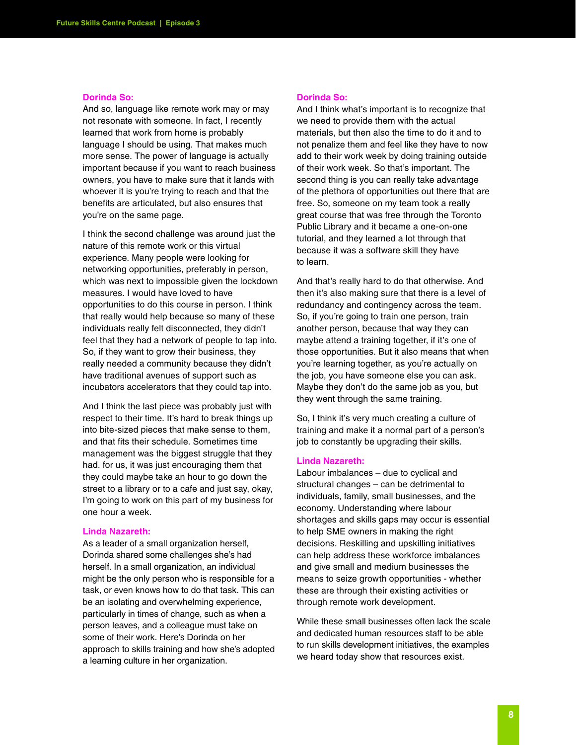#### **Dorinda So:**

And so, language like remote work may or may not resonate with someone. In fact, I recently learned that work from home is probably language I should be using. That makes much more sense. The power of language is actually important because if you want to reach business owners, you have to make sure that it lands with whoever it is you're trying to reach and that the benefits are articulated, but also ensures that you're on the same page.

I think the second challenge was around just the nature of this remote work or this virtual experience. Many people were looking for networking opportunities, preferably in person, which was next to impossible given the lockdown measures. I would have loved to have opportunities to do this course in person. I think that really would help because so many of these individuals really felt disconnected, they didn't feel that they had a network of people to tap into. So, if they want to grow their business, they really needed a community because they didn't have traditional avenues of support such as incubators accelerators that they could tap into.

And I think the last piece was probably just with respect to their time. It's hard to break things up into bite-sized pieces that make sense to them, and that fits their schedule. Sometimes time management was the biggest struggle that they had. for us, it was just encouraging them that they could maybe take an hour to go down the street to a library or to a cafe and just say, okay, I'm going to work on this part of my business for one hour a week.

#### **Linda Nazareth:**

As a leader of a small organization herself, Dorinda shared some challenges she's had herself. In a small organization, an individual might be the only person who is responsible for a task, or even knows how to do that task. This can be an isolating and overwhelming experience, particularly in times of change, such as when a person leaves, and a colleague must take on some of their work. Here's Dorinda on her approach to skills training and how she's adopted a learning culture in her organization.

#### **Dorinda So:**

And I think what's important is to recognize that we need to provide them with the actual materials, but then also the time to do it and to not penalize them and feel like they have to now add to their work week by doing training outside of their work week. So that's important. The second thing is you can really take advantage of the plethora of opportunities out there that are free. So, someone on my team took a really great course that was free through the Toronto Public Library and it became a one-on-one tutorial, and they learned a lot through that because it was a software skill they have to learn.

And that's really hard to do that otherwise. And then it's also making sure that there is a level of redundancy and contingency across the team. So, if you're going to train one person, train another person, because that way they can maybe attend a training together, if it's one of those opportunities. But it also means that when you're learning together, as you're actually on the job, you have someone else you can ask. Maybe they don't do the same job as you, but they went through the same training.

So, I think it's very much creating a culture of training and make it a normal part of a person's job to constantly be upgrading their skills.

#### **Linda Nazareth:**

Labour imbalances – due to cyclical and structural changes – can be detrimental to individuals, family, small businesses, and the economy. Understanding where labour shortages and skills gaps may occur is essential to help SME owners in making the right decisions. Reskilling and upskilling initiatives can help address these workforce imbalances and give small and medium businesses the means to seize growth opportunities - whether these are through their existing activities or through remote work development.

While these small businesses often lack the scale and dedicated human resources staff to be able to run skills development initiatives, the examples we heard today show that resources exist.